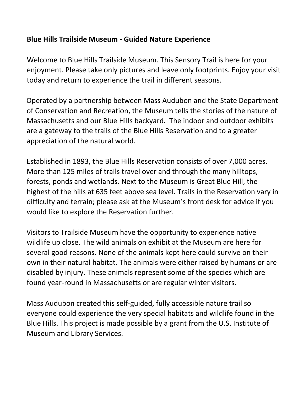## **Blue Hills Trailside Museum - Guided Nature Experience**

Welcome to Blue Hills Trailside Museum. This Sensory Trail is here for your enjoyment. Please take only pictures and leave only footprints. Enjoy your visit today and return to experience the trail in different seasons.

Operated by a partnership between Mass Audubon and the State Department of Conservation and Recreation, the Museum tells the stories of the nature of Massachusetts and our Blue Hills backyard. The indoor and outdoor exhibits are a gateway to the trails of the Blue Hills Reservation and to a greater appreciation of the natural world.

Established in 1893, the Blue Hills Reservation consists of over 7,000 acres. More than 125 miles of trails travel over and through the many hilltops, forests, ponds and wetlands. Next to the Museum is Great Blue Hill, the highest of the hills at 635 feet above sea level. Trails in the Reservation vary in difficulty and terrain; please ask at the Museum's front desk for advice if you would like to explore the Reservation further.

Visitors to Trailside Museum have the opportunity to experience native wildlife up close. The wild animals on exhibit at the Museum are here for several good reasons. None of the animals kept here could survive on their own in their natural habitat. The animals were either raised by humans or are disabled by injury. These animals represent some of the species which are found year-round in Massachusetts or are regular winter visitors.

Mass Audubon created this self-guided, fully accessible nature trail so everyone could experience the very special habitats and wildlife found in the Blue Hills. This project is made possible by a grant from the U.S. Institute of Museum and Library Services.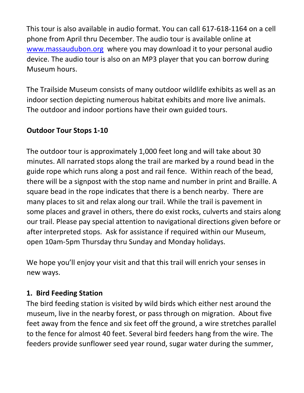This tour is also available in audio format. You can call 617-618-1164 on a cell phone from April thru December. The audio tour is available online at [www.massaudubon.org](http://www.massaudubon.org/) where you may download it to your personal audio device. The audio tour is also on an MP3 player that you can borrow during Museum hours.

The Trailside Museum consists of many outdoor wildlife exhibits as well as an indoor section depicting numerous habitat exhibits and more live animals. The outdoor and indoor portions have their own guided tours.

## **Outdoor Tour Stops 1-10**

The outdoor tour is approximately 1,000 feet long and will take about 30 minutes. All narrated stops along the trail are marked by a round bead in the guide rope which runs along a post and rail fence. Within reach of the bead, there will be a signpost with the stop name and number in print and Braille. A square bead in the rope indicates that there is a bench nearby. There are many places to sit and relax along our trail. While the trail is pavement in some places and gravel in others, there do exist rocks, culverts and stairs along our trail. Please pay special attention to navigational directions given before or after interpreted stops. Ask for assistance if required within our Museum, open 10am-5pm Thursday thru Sunday and Monday holidays.

We hope you'll enjoy your visit and that this trail will enrich your senses in new ways.

## **1. Bird Feeding Station**

The bird feeding station is visited by wild birds which either nest around the museum, live in the nearby forest, or pass through on migration. About five feet away from the fence and six feet off the ground, a wire stretches parallel to the fence for almost 40 feet. Several bird feeders hang from the wire. The feeders provide sunflower seed year round, sugar water during the summer,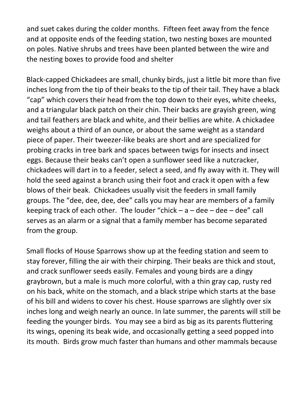and suet cakes during the colder months. Fifteen feet away from the fence and at opposite ends of the feeding station, two nesting boxes are mounted on poles. Native shrubs and trees have been planted between the wire and the nesting boxes to provide food and shelter

Black-capped Chickadees are small, chunky birds, just a little bit more than five inches long from the tip of their beaks to the tip of their tail. They have a black "cap" which covers their head from the top down to their eyes, white cheeks, and a triangular black patch on their chin. Their backs are grayish green, wing and tail feathers are black and white, and their bellies are white. A chickadee weighs about a third of an ounce, or about the same weight as a standard piece of paper. Their tweezer-like beaks are short and are specialized for probing cracks in tree bark and spaces between twigs for insects and insect eggs. Because their beaks can't open a sunflower seed like a nutcracker, chickadees will dart in to a feeder, select a seed, and fly away with it. They will hold the seed against a branch using their foot and crack it open with a few blows of their beak. Chickadees usually visit the feeders in small family groups. The "dee, dee, dee, dee" calls you may hear are members of a family keeping track of each other. The louder "chick  $-a -$  dee  $-a$  dee" call serves as an alarm or a signal that a family member has become separated from the group.

Small flocks of House Sparrows show up at the feeding station and seem to stay forever, filling the air with their chirping. Their beaks are thick and stout, and crack sunflower seeds easily. Females and young birds are a dingy graybrown, but a male is much more colorful, with a thin gray cap, rusty red on his back, white on the stomach, and a black stripe which starts at the base of his bill and widens to cover his chest. House sparrows are slightly over six inches long and weigh nearly an ounce. In late summer, the parents will still be feeding the younger birds. You may see a bird as big as its parents fluttering its wings, opening its beak wide, and occasionally getting a seed popped into its mouth. Birds grow much faster than humans and other mammals because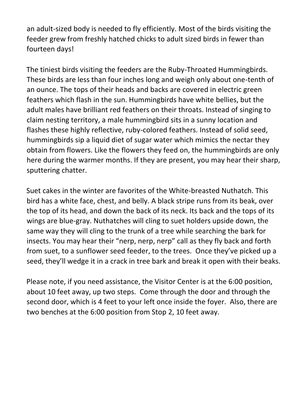an adult-sized body is needed to fly efficiently. Most of the birds visiting the feeder grew from freshly hatched chicks to adult sized birds in fewer than fourteen days!

The tiniest birds visiting the feeders are the Ruby-Throated Hummingbirds. These birds are less than four inches long and weigh only about one-tenth of an ounce. The tops of their heads and backs are covered in electric green feathers which flash in the sun. Hummingbirds have white bellies, but the adult males have brilliant red feathers on their throats. Instead of singing to claim nesting territory, a male hummingbird sits in a sunny location and flashes these highly reflective, ruby-colored feathers. Instead of solid seed, hummingbirds sip a liquid diet of sugar water which mimics the nectar they obtain from flowers. Like the flowers they feed on, the hummingbirds are only here during the warmer months. If they are present, you may hear their sharp, sputtering chatter.

Suet cakes in the winter are favorites of the White-breasted Nuthatch. This bird has a white face, chest, and belly. A black stripe runs from its beak, over the top of its head, and down the back of its neck. Its back and the tops of its wings are blue-gray. Nuthatches will cling to suet holders upside down, the same way they will cling to the trunk of a tree while searching the bark for insects. You may hear their "nerp, nerp, nerp" call as they fly back and forth from suet, to a sunflower seed feeder, to the trees. Once they've picked up a seed, they'll wedge it in a crack in tree bark and break it open with their beaks.

Please note, if you need assistance, the Visitor Center is at the 6:00 position, about 10 feet away, up two steps. Come through the door and through the second door, which is 4 feet to your left once inside the foyer. Also, there are two benches at the 6:00 position from Stop 2, 10 feet away.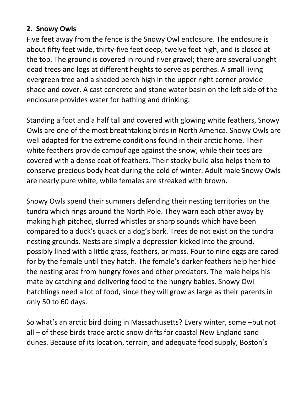## **2. Snowy Owls**

Five feet away from the fence is the Snowy Owl enclosure. The enclosure is about fifty feet wide, thirty-five feet deep, twelve feet high, and is closed at the top. The ground is covered in round river gravel; there are several upright dead trees and logs at different heights to serve as perches. A small living evergreen tree and a shaded perch high in the upper right corner provide shade and cover. A cast concrete and stone water basin on the left side of the enclosure provides water for bathing and drinking.

Standing a foot and a half tall and covered with glowing white feathers, Snowy Owls are one of the most breathtaking birds in North America. Snowy Owls are well adapted for the extreme conditions found in their arctic home. Their white feathers provide camouflage against the snow, while their toes are covered with a dense coat of feathers. Their stocky build also helps them to conserve precious body heat during the cold of winter. Adult male Snowy Owls are nearly pure white, while females are streaked with brown.

Snowy Owls spend their summers defending their nesting territories on the tundra which rings around the North Pole. They warn each other away by making high pitched, slurred whistles or sharp sounds which have been compared to a duck's quack or a dog's bark. Trees do not exist on the tundra nesting grounds. Nests are simply a depression kicked into the ground, possibly lined with a little grass, feathers, or moss. Four to nine eggs are cared for by the female until they hatch. The female's darker feathers help her hide the nesting area from hungry foxes and other predators. The male helps his mate by catching and delivering food to the hungry babies. Snowy Owl hatchlings need a lot of food, since they will grow as large as their parents in only 50 to 60 days.

So what's an arctic bird doing in Massachusetts? Every winter, some –but not all – of these birds trade arctic snow drifts for coastal New England sand dunes. Because of its location, terrain, and adequate food supply, Boston's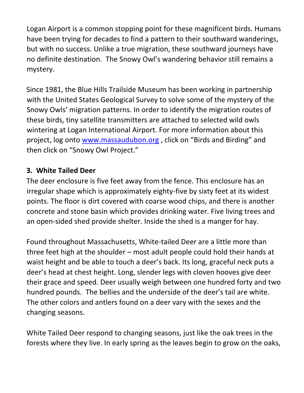Logan Airport is a common stopping point for these magnificent birds. Humans have been trying for decades to find a pattern to their southward wanderings, but with no success. Unlike a true migration, these southward journeys have no definite destination. The Snowy Owl's wandering behavior still remains a mystery.

Since 1981, the Blue Hills Trailside Museum has been working in partnership with the United States Geological Survey to solve some of the mystery of the Snowy Owls' migration patterns. In order to identify the migration routes of these birds, tiny satellite transmitters are attached to selected wild owls wintering at Logan International Airport. For more information about this project, log onto [www.massaudubon.org](http://www.massaudubon.org/), click on "Birds and Birding" and then click on "Snowy Owl Project."

## **3. White Tailed Deer**

The deer enclosure is five feet away from the fence. This enclosure has an irregular shape which is approximately eighty-five by sixty feet at its widest points. The floor is dirt covered with coarse wood chips, and there is another concrete and stone basin which provides drinking water. Five living trees and an open-sided shed provide shelter. Inside the shed is a manger for hay.

Found throughout Massachusetts, White-tailed Deer are a little more than three feet high at the shoulder – most adult people could hold their hands at waist height and be able to touch a deer's back. Its long, graceful neck puts a deer's head at chest height. Long, slender legs with cloven hooves give deer their grace and speed. Deer usually weigh between one hundred forty and two hundred pounds. The bellies and the underside of the deer's tail are white. The other colors and antlers found on a deer vary with the sexes and the changing seasons.

White Tailed Deer respond to changing seasons, just like the oak trees in the forests where they live. In early spring as the leaves begin to grow on the oaks,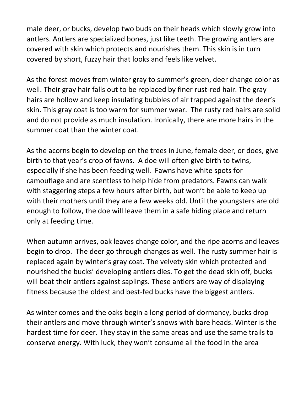male deer, or bucks, develop two buds on their heads which slowly grow into antlers. Antlers are specialized bones, just like teeth. The growing antlers are covered with skin which protects and nourishes them. This skin is in turn covered by short, fuzzy hair that looks and feels like velvet.

As the forest moves from winter gray to summer's green, deer change color as well. Their gray hair falls out to be replaced by finer rust-red hair. The gray hairs are hollow and keep insulating bubbles of air trapped against the deer's skin. This gray coat is too warm for summer wear. The rusty red hairs are solid and do not provide as much insulation. Ironically, there are more hairs in the summer coat than the winter coat.

As the acorns begin to develop on the trees in June, female deer, or does, give birth to that year's crop of fawns. A doe will often give birth to twins, especially if she has been feeding well. Fawns have white spots for camouflage and are scentless to help hide from predators. Fawns can walk with staggering steps a few hours after birth, but won't be able to keep up with their mothers until they are a few weeks old. Until the youngsters are old enough to follow, the doe will leave them in a safe hiding place and return only at feeding time.

When autumn arrives, oak leaves change color, and the ripe acorns and leaves begin to drop. The deer go through changes as well. The rusty summer hair is replaced again by winter's gray coat. The velvety skin which protected and nourished the bucks' developing antlers dies. To get the dead skin off, bucks will beat their antlers against saplings. These antlers are way of displaying fitness because the oldest and best-fed bucks have the biggest antlers.

As winter comes and the oaks begin a long period of dormancy, bucks drop their antlers and move through winter's snows with bare heads. Winter is the hardest time for deer. They stay in the same areas and use the same trails to conserve energy. With luck, they won't consume all the food in the area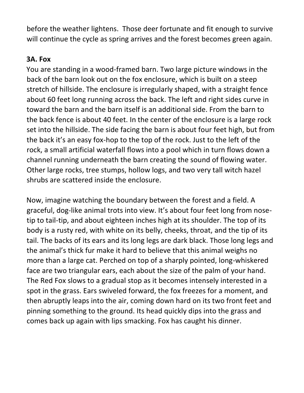before the weather lightens. Those deer fortunate and fit enough to survive will continue the cycle as spring arrives and the forest becomes green again.

## **3A. Fox**

You are standing in a wood-framed barn. Two large picture windows in the back of the barn look out on the fox enclosure, which is built on a steep stretch of hillside. The enclosure is irregularly shaped, with a straight fence about 60 feet long running across the back. The left and right sides curve in toward the barn and the barn itself is an additional side. From the barn to the back fence is about 40 feet. In the center of the enclosure is a large rock set into the hillside. The side facing the barn is about four feet high, but from the back it's an easy fox-hop to the top of the rock. Just to the left of the rock, a small artificial waterfall flows into a pool which in turn flows down a channel running underneath the barn creating the sound of flowing water. Other large rocks, tree stumps, hollow logs, and two very tall witch hazel shrubs are scattered inside the enclosure.

Now, imagine watching the boundary between the forest and a field. A graceful, dog-like animal trots into view. It's about four feet long from nosetip to tail-tip, and about eighteen inches high at its shoulder. The top of its body is a rusty red, with white on its belly, cheeks, throat, and the tip of its tail. The backs of its ears and its long legs are dark black. Those long legs and the animal's thick fur make it hard to believe that this animal weighs no more than a large cat. Perched on top of a sharply pointed, long-whiskered face are two triangular ears, each about the size of the palm of your hand. The Red Fox slows to a gradual stop as it becomes intensely interested in a spot in the grass. Ears swiveled forward, the fox freezes for a moment, and then abruptly leaps into the air, coming down hard on its two front feet and pinning something to the ground. Its head quickly dips into the grass and comes back up again with lips smacking. Fox has caught his dinner.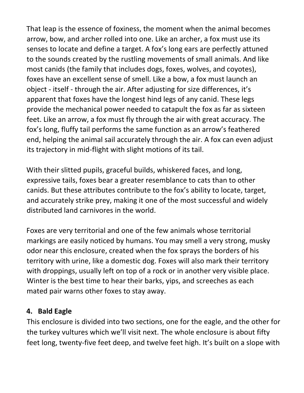That leap is the essence of foxiness, the moment when the animal becomes arrow, bow, and archer rolled into one. Like an archer, a fox must use its senses to locate and define a target. A fox's long ears are perfectly attuned to the sounds created by the rustling movements of small animals. And like most canids (the family that includes dogs, foxes, wolves, and coyotes), foxes have an excellent sense of smell. Like a bow, a fox must launch an object - itself - through the air. After adjusting for size differences, it's apparent that foxes have the longest hind legs of any canid. These legs provide the mechanical power needed to catapult the fox as far as sixteen feet. Like an arrow, a fox must fly through the air with great accuracy. The fox's long, fluffy tail performs the same function as an arrow's feathered end, helping the animal sail accurately through the air. A fox can even adjust its trajectory in mid-flight with slight motions of its tail.

With their slitted pupils, graceful builds, whiskered faces, and long, expressive tails, foxes bear a greater resemblance to cats than to other canids. But these attributes contribute to the fox's ability to locate, target, and accurately strike prey, making it one of the most successful and widely distributed land carnivores in the world.

Foxes are very territorial and one of the few animals whose territorial markings are easily noticed by humans. You may smell a very strong, musky odor near this enclosure, created when the fox sprays the borders of his territory with urine, like a domestic dog. Foxes will also mark their territory with droppings, usually left on top of a rock or in another very visible place. Winter is the best time to hear their barks, yips, and screeches as each mated pair warns other foxes to stay away.

## **4. Bald Eagle**

This enclosure is divided into two sections, one for the eagle, and the other for the turkey vultures which we'll visit next. The whole enclosure is about fifty feet long, twenty-five feet deep, and twelve feet high. It's built on a slope with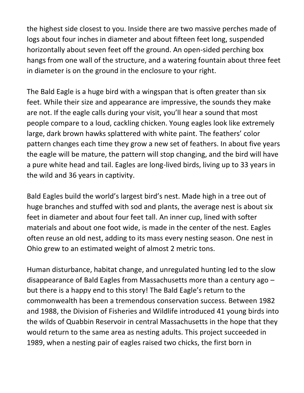the highest side closest to you. Inside there are two massive perches made of logs about four inches in diameter and about fifteen feet long, suspended horizontally about seven feet off the ground. An open-sided perching box hangs from one wall of the structure, and a watering fountain about three feet in diameter is on the ground in the enclosure to your right.

The Bald Eagle is a huge bird with a wingspan that is often greater than six feet. While their size and appearance are impressive, the sounds they make are not. If the eagle calls during your visit, you'll hear a sound that most people compare to a loud, cackling chicken. Young eagles look like extremely large, dark brown hawks splattered with white paint. The feathers' color pattern changes each time they grow a new set of feathers. In about five years the eagle will be mature, the pattern will stop changing, and the bird will have a pure white head and tail. Eagles are long-lived birds, living up to 33 years in the wild and 36 years in captivity.

Bald Eagles build the world's largest bird's nest. Made high in a tree out of huge branches and stuffed with sod and plants, the average nest is about six feet in diameter and about four feet tall. An inner cup, lined with softer materials and about one foot wide, is made in the center of the nest. Eagles often reuse an old nest, adding to its mass every nesting season. One nest in Ohio grew to an estimated weight of almost 2 metric tons.

Human disturbance, habitat change, and unregulated hunting led to the slow disappearance of Bald Eagles from Massachusetts more than a century ago – but there is a happy end to this story! The Bald Eagle's return to the commonwealth has been a tremendous conservation success. Between 1982 and 1988, the Division of Fisheries and Wildlife introduced 41 young birds into the wilds of Quabbin Reservoir in central Massachusetts in the hope that they would return to the same area as nesting adults. This project succeeded in 1989, when a nesting pair of eagles raised two chicks, the first born in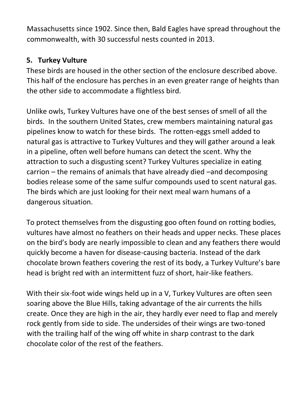Massachusetts since 1902. Since then, Bald Eagles have spread throughout the commonwealth, with 30 successful nests counted in 2013.

# **5. Turkey Vulture**

These birds are housed in the other section of the enclosure described above. This half of the enclosure has perches in an even greater range of heights than the other side to accommodate a flightless bird.

Unlike owls, Turkey Vultures have one of the best senses of smell of all the birds. In the southern United States, crew members maintaining natural gas pipelines know to watch for these birds. The rotten-eggs smell added to natural gas is attractive to Turkey Vultures and they will gather around a leak in a pipeline, often well before humans can detect the scent. Why the attraction to such a disgusting scent? Turkey Vultures specialize in eating carrion – the remains of animals that have already died –and decomposing bodies release some of the same sulfur compounds used to scent natural gas. The birds which are just looking for their next meal warn humans of a dangerous situation.

To protect themselves from the disgusting goo often found on rotting bodies, vultures have almost no feathers on their heads and upper necks. These places on the bird's body are nearly impossible to clean and any feathers there would quickly become a haven for disease-causing bacteria. Instead of the dark chocolate brown feathers covering the rest of its body, a Turkey Vulture's bare head is bright red with an intermittent fuzz of short, hair-like feathers.

With their six-foot wide wings held up in a V, Turkey Vultures are often seen soaring above the Blue Hills, taking advantage of the air currents the hills create. Once they are high in the air, they hardly ever need to flap and merely rock gently from side to side. The undersides of their wings are two-toned with the trailing half of the wing off white in sharp contrast to the dark chocolate color of the rest of the feathers.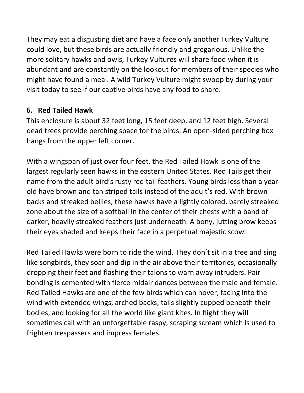They may eat a disgusting diet and have a face only another Turkey Vulture could love, but these birds are actually friendly and gregarious. Unlike the more solitary hawks and owls, Turkey Vultures will share food when it is abundant and are constantly on the lookout for members of their species who might have found a meal. A wild Turkey Vulture might swoop by during your visit today to see if our captive birds have any food to share.

# **6. Red Tailed Hawk**

This enclosure is about 32 feet long, 15 feet deep, and 12 feet high. Several dead trees provide perching space for the birds. An open-sided perching box hangs from the upper left corner.

With a wingspan of just over four feet, the Red Tailed Hawk is one of the largest regularly seen hawks in the eastern United States. Red Tails get their name from the adult bird's rusty red tail feathers. Young birds less than a year old have brown and tan striped tails instead of the adult's red. With brown backs and streaked bellies, these hawks have a lightly colored, barely streaked zone about the size of a softball in the center of their chests with a band of darker, heavily streaked feathers just underneath. A bony, jutting brow keeps their eyes shaded and keeps their face in a perpetual majestic scowl.

Red Tailed Hawks were born to ride the wind. They don't sit in a tree and sing like songbirds, they soar and dip in the air above their territories, occasionally dropping their feet and flashing their talons to warn away intruders. Pair bonding is cemented with fierce midair dances between the male and female. Red Tailed Hawks are one of the few birds which can hover, facing into the wind with extended wings, arched backs, tails slightly cupped beneath their bodies, and looking for all the world like giant kites. In flight they will sometimes call with an unforgettable raspy, scraping scream which is used to frighten trespassers and impress females.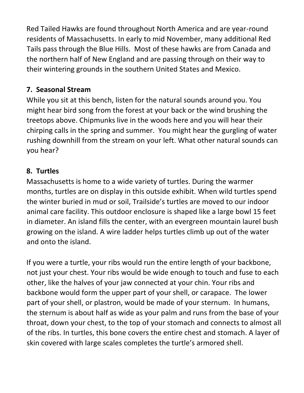Red Tailed Hawks are found throughout North America and are year-round residents of Massachusetts. In early to mid November, many additional Red Tails pass through the Blue Hills. Most of these hawks are from Canada and the northern half of New England and are passing through on their way to their wintering grounds in the southern United States and Mexico.

# **7. Seasonal Stream**

While you sit at this bench, listen for the natural sounds around you. You might hear bird song from the forest at your back or the wind brushing the treetops above. Chipmunks live in the woods here and you will hear their chirping calls in the spring and summer. You might hear the gurgling of water rushing downhill from the stream on your left. What other natural sounds can you hear?

## **8. Turtles**

Massachusetts is home to a wide variety of turtles. During the warmer months, turtles are on display in this outside exhibit. When wild turtles spend the winter buried in mud or soil, Trailside's turtles are moved to our indoor animal care facility. This outdoor enclosure is shaped like a large bowl 15 feet in diameter. An island fills the center, with an evergreen mountain laurel bush growing on the island. A wire ladder helps turtles climb up out of the water and onto the island.

If you were a turtle, your ribs would run the entire length of your backbone, not just your chest. Your ribs would be wide enough to touch and fuse to each other, like the halves of your jaw connected at your chin. Your ribs and backbone would form the upper part of your shell, or carapace. The lower part of your shell, or plastron, would be made of your sternum. In humans, the sternum is about half as wide as your palm and runs from the base of your throat, down your chest, to the top of your stomach and connects to almost all of the ribs. In turtles, this bone covers the entire chest and stomach. A layer of skin covered with large scales completes the turtle's armored shell.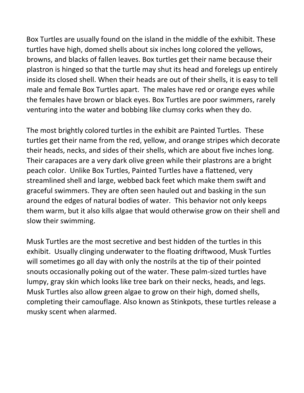Box Turtles are usually found on the island in the middle of the exhibit. These turtles have high, domed shells about six inches long colored the yellows, browns, and blacks of fallen leaves. Box turtles get their name because their plastron is hinged so that the turtle may shut its head and forelegs up entirely inside its closed shell. When their heads are out of their shells, it is easy to tell male and female Box Turtles apart. The males have red or orange eyes while the females have brown or black eyes. Box Turtles are poor swimmers, rarely venturing into the water and bobbing like clumsy corks when they do.

The most brightly colored turtles in the exhibit are Painted Turtles. These turtles get their name from the red, yellow, and orange stripes which decorate their heads, necks, and sides of their shells, which are about five inches long. Their carapaces are a very dark olive green while their plastrons are a bright peach color. Unlike Box Turtles, Painted Turtles have a flattened, very streamlined shell and large, webbed back feet which make them swift and graceful swimmers. They are often seen hauled out and basking in the sun around the edges of natural bodies of water. This behavior not only keeps them warm, but it also kills algae that would otherwise grow on their shell and slow their swimming.

Musk Turtles are the most secretive and best hidden of the turtles in this exhibit. Usually clinging underwater to the floating driftwood, Musk Turtles will sometimes go all day with only the nostrils at the tip of their pointed snouts occasionally poking out of the water. These palm-sized turtles have lumpy, gray skin which looks like tree bark on their necks, heads, and legs. Musk Turtles also allow green algae to grow on their high, domed shells, completing their camouflage. Also known as Stinkpots, these turtles release a musky scent when alarmed.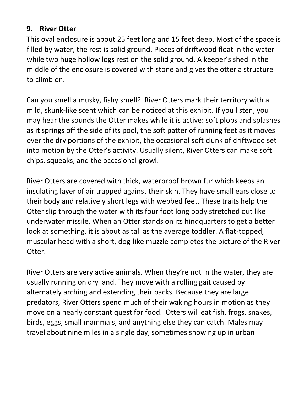#### **9. River Otter**

This oval enclosure is about 25 feet long and 15 feet deep. Most of the space is filled by water, the rest is solid ground. Pieces of driftwood float in the water while two huge hollow logs rest on the solid ground. A keeper's shed in the middle of the enclosure is covered with stone and gives the otter a structure to climb on.

Can you smell a musky, fishy smell? River Otters mark their territory with a mild, skunk-like scent which can be noticed at this exhibit. If you listen, you may hear the sounds the Otter makes while it is active: soft plops and splashes as it springs off the side of its pool, the soft patter of running feet as it moves over the dry portions of the exhibit, the occasional soft clunk of driftwood set into motion by the Otter's activity. Usually silent, River Otters can make soft chips, squeaks, and the occasional growl.

River Otters are covered with thick, waterproof brown fur which keeps an insulating layer of air trapped against their skin. They have small ears close to their body and relatively short legs with webbed feet. These traits help the Otter slip through the water with its four foot long body stretched out like underwater missile. When an Otter stands on its hindquarters to get a better look at something, it is about as tall as the average toddler. A flat-topped, muscular head with a short, dog-like muzzle completes the picture of the River Otter.

River Otters are very active animals. When they're not in the water, they are usually running on dry land. They move with a rolling gait caused by alternately arching and extending their backs. Because they are large predators, River Otters spend much of their waking hours in motion as they move on a nearly constant quest for food. Otters will eat fish, frogs, snakes, birds, eggs, small mammals, and anything else they can catch. Males may travel about nine miles in a single day, sometimes showing up in urban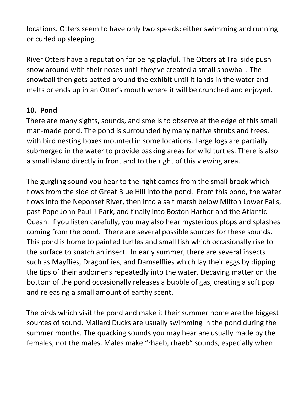locations. Otters seem to have only two speeds: either swimming and running or curled up sleeping.

River Otters have a reputation for being playful. The Otters at Trailside push snow around with their noses until they've created a small snowball. The snowball then gets batted around the exhibit until it lands in the water and melts or ends up in an Otter's mouth where it will be crunched and enjoyed.

## **10. Pond**

There are many sights, sounds, and smells to observe at the edge of this small man-made pond. The pond is surrounded by many native shrubs and trees, with bird nesting boxes mounted in some locations. Large logs are partially submerged in the water to provide basking areas for wild turtles. There is also a small island directly in front and to the right of this viewing area.

The gurgling sound you hear to the right comes from the small brook which flows from the side of Great Blue Hill into the pond. From this pond, the water flows into the Neponset River, then into a salt marsh below Milton Lower Falls, past Pope John Paul II Park, and finally into Boston Harbor and the Atlantic Ocean. If you listen carefully, you may also hear mysterious plops and splashes coming from the pond. There are several possible sources for these sounds. This pond is home to painted turtles and small fish which occasionally rise to the surface to snatch an insect. In early summer, there are several insects such as Mayflies, Dragonflies, and Damselflies which lay their eggs by dipping the tips of their abdomens repeatedly into the water. Decaying matter on the bottom of the pond occasionally releases a bubble of gas, creating a soft pop and releasing a small amount of earthy scent.

The birds which visit the pond and make it their summer home are the biggest sources of sound. Mallard Ducks are usually swimming in the pond during the summer months. The quacking sounds you may hear are usually made by the females, not the males. Males make "rhaeb, rhaeb" sounds, especially when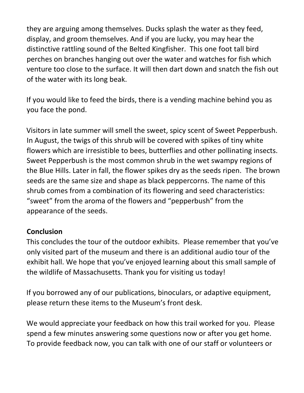they are arguing among themselves. Ducks splash the water as they feed, display, and groom themselves. And if you are lucky, you may hear the distinctive rattling sound of the Belted Kingfisher. This one foot tall bird perches on branches hanging out over the water and watches for fish which venture too close to the surface. It will then dart down and snatch the fish out of the water with its long beak.

If you would like to feed the birds, there is a vending machine behind you as you face the pond.

Visitors in late summer will smell the sweet, spicy scent of Sweet Pepperbush. In August, the twigs of this shrub will be covered with spikes of tiny white flowers which are irresistible to bees, butterflies and other pollinating insects. Sweet Pepperbush is the most common shrub in the wet swampy regions of the Blue Hills. Later in fall, the flower spikes dry as the seeds ripen. The brown seeds are the same size and shape as black peppercorns. The name of this shrub comes from a combination of its flowering and seed characteristics: "sweet" from the aroma of the flowers and "pepperbush" from the appearance of the seeds.

## **Conclusion**

This concludes the tour of the outdoor exhibits. Please remember that you've only visited part of the museum and there is an additional audio tour of the exhibit hall. We hope that you've enjoyed learning about this small sample of the wildlife of Massachusetts. Thank you for visiting us today!

If you borrowed any of our publications, binoculars, or adaptive equipment, please return these items to the Museum's front desk.

We would appreciate your feedback on how this trail worked for you. Please spend a few minutes answering some questions now or after you get home. To provide feedback now, you can talk with one of our staff or volunteers or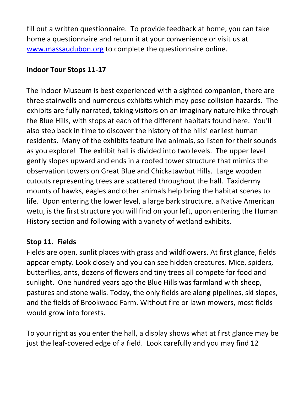fill out a written questionnaire. To provide feedback at home, you can take home a questionnaire and return it at your convenience or visit us at [www.massaudubon.org](http://www.massaudubon.org/) [t](http://www.massaudubon.org/)o complete the questionnaire online.

## **Indoor Tour Stops 11-17**

The indoor Museum is best experienced with a sighted companion, there are three stairwells and numerous exhibits which may pose collision hazards. The exhibits are fully narrated, taking visitors on an imaginary nature hike through the Blue Hills, with stops at each of the different habitats found here. You'll also step back in time to discover the history of the hills' earliest human residents. Many of the exhibits feature live animals, so listen for their sounds as you explore! The exhibit hall is divided into two levels. The upper level gently slopes upward and ends in a roofed tower structure that mimics the observation towers on Great Blue and Chickatawbut Hills. Large wooden cutouts representing trees are scattered throughout the hall. Taxidermy mounts of hawks, eagles and other animals help bring the habitat scenes to life. Upon entering the lower level, a large bark structure, a Native American wetu, is the first structure you will find on your left, upon entering the Human History section and following with a variety of wetland exhibits.

## **Stop 11. Fields**

Fields are open, sunlit places with grass and wildflowers. At first glance, fields appear empty. Look closely and you can see hidden creatures. Mice, spiders, butterflies, ants, dozens of flowers and tiny trees all compete for food and sunlight. One hundred years ago the Blue Hills was farmland with sheep, pastures and stone walls. Today, the only fields are along pipelines, ski slopes, and the fields of Brookwood Farm. Without fire or lawn mowers, most fields would grow into forests.

To your right as you enter the hall, a display shows what at first glance may be just the leaf-covered edge of a field. Look carefully and you may find 12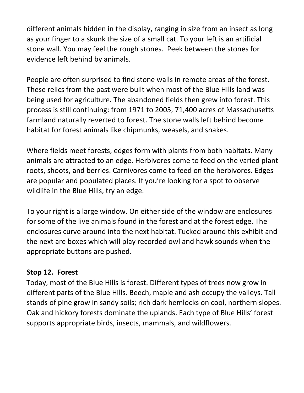different animals hidden in the display, ranging in size from an insect as long as your finger to a skunk the size of a small cat. To your left is an artificial stone wall. You may feel the rough stones. Peek between the stones for evidence left behind by animals.

People are often surprised to find stone walls in remote areas of the forest. These relics from the past were built when most of the Blue Hills land was being used for agriculture. The abandoned fields then grew into forest. This process is still continuing: from 1971 to 2005, 71,400 acres of Massachusetts farmland naturally reverted to forest. The stone walls left behind become habitat for forest animals like chipmunks, weasels, and snakes.

Where fields meet forests, edges form with plants from both habitats. Many animals are attracted to an edge. Herbivores come to feed on the varied plant roots, shoots, and berries. Carnivores come to feed on the herbivores. Edges are popular and populated places. If you're looking for a spot to observe wildlife in the Blue Hills, try an edge.

To your right is a large window. On either side of the window are enclosures for some of the live animals found in the forest and at the forest edge. The enclosures curve around into the next habitat. Tucked around this exhibit and the next are boxes which will play recorded owl and hawk sounds when the appropriate buttons are pushed.

## **Stop 12. Forest**

Today, most of the Blue Hills is forest. Different types of trees now grow in different parts of the Blue Hills. Beech, maple and ash occupy the valleys. Tall stands of pine grow in sandy soils; rich dark hemlocks on cool, northern slopes. Oak and hickory forests dominate the uplands. Each type of Blue Hills' forest supports appropriate birds, insects, mammals, and wildflowers.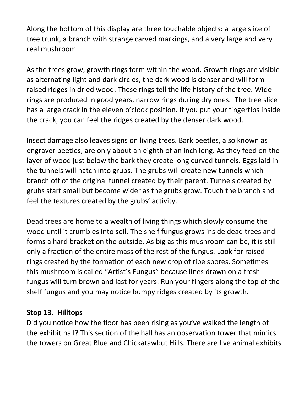Along the bottom of this display are three touchable objects: a large slice of tree trunk, a branch with strange carved markings, and a very large and very real mushroom.

As the trees grow, growth rings form within the wood. Growth rings are visible as alternating light and dark circles, the dark wood is denser and will form raised ridges in dried wood. These rings tell the life history of the tree. Wide rings are produced in good years, narrow rings during dry ones. The tree slice has a large crack in the eleven o'clock position. If you put your fingertips inside the crack, you can feel the ridges created by the denser dark wood.

Insect damage also leaves signs on living trees. Bark beetles, also known as engraver beetles, are only about an eighth of an inch long. As they feed on the layer of wood just below the bark they create long curved tunnels. Eggs laid in the tunnels will hatch into grubs. The grubs will create new tunnels which branch off of the original tunnel created by their parent. Tunnels created by grubs start small but become wider as the grubs grow. Touch the branch and feel the textures created by the grubs' activity.

Dead trees are home to a wealth of living things which slowly consume the wood until it crumbles into soil. The shelf fungus grows inside dead trees and forms a hard bracket on the outside. As big as this mushroom can be, it is still only a fraction of the entire mass of the rest of the fungus. Look for raised rings created by the formation of each new crop of ripe spores. Sometimes this mushroom is called "Artist's Fungus" because lines drawn on a fresh fungus will turn brown and last for years. Run your fingers along the top of the shelf fungus and you may notice bumpy ridges created by its growth.

## **Stop 13. Hilltops**

Did you notice how the floor has been rising as you've walked the length of the exhibit hall? This section of the hall has an observation tower that mimics the towers on Great Blue and Chickatawbut Hills. There are live animal exhibits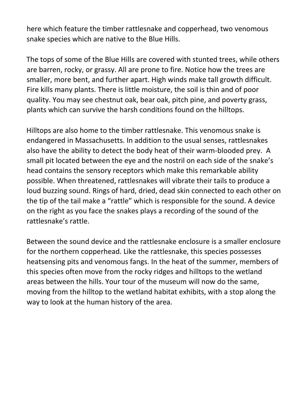here which feature the timber rattlesnake and copperhead, two venomous snake species which are native to the Blue Hills.

The tops of some of the Blue Hills are covered with stunted trees, while others are barren, rocky, or grassy. All are prone to fire. Notice how the trees are smaller, more bent, and further apart. High winds make tall growth difficult. Fire kills many plants. There is little moisture, the soil is thin and of poor quality. You may see chestnut oak, bear oak, pitch pine, and poverty grass, plants which can survive the harsh conditions found on the hilltops.

Hilltops are also home to the timber rattlesnake. This venomous snake is endangered in Massachusetts. In addition to the usual senses, rattlesnakes also have the ability to detect the body heat of their warm-blooded prey. A small pit located between the eye and the nostril on each side of the snake's head contains the sensory receptors which make this remarkable ability possible. When threatened, rattlesnakes will vibrate their tails to produce a loud buzzing sound. Rings of hard, dried, dead skin connected to each other on the tip of the tail make a "rattle" which is responsible for the sound. A device on the right as you face the snakes plays a recording of the sound of the rattlesnake's rattle.

Between the sound device and the rattlesnake enclosure is a smaller enclosure for the northern copperhead. Like the rattlesnake, this species possesses heatsensing pits and venomous fangs. In the heat of the summer, members of this species often move from the rocky ridges and hilltops to the wetland areas between the hills. Your tour of the museum will now do the same, moving from the hilltop to the wetland habitat exhibits, with a stop along the way to look at the human history of the area.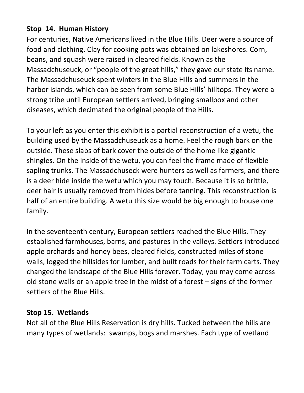## **Stop 14. Human History**

For centuries, Native Americans lived in the Blue Hills. Deer were a source of food and clothing. Clay for cooking pots was obtained on lakeshores. Corn, beans, and squash were raised in cleared fields. Known as the Massadchuseuck, or "people of the great hills," they gave our state its name. The Massadchuseuck spent winters in the Blue Hills and summers in the harbor islands, which can be seen from some Blue Hills' hilltops. They were a strong tribe until European settlers arrived, bringing smallpox and other diseases, which decimated the original people of the Hills.

To your left as you enter this exhibit is a partial reconstruction of a wetu, the building used by the Massadchuseuck as a home. Feel the rough bark on the outside. These slabs of bark cover the outside of the home like gigantic shingles. On the inside of the wetu, you can feel the frame made of flexible sapling trunks. The Massadchuseck were hunters as well as farmers, and there is a deer hide inside the wetu which you may touch. Because it is so brittle, deer hair is usually removed from hides before tanning. This reconstruction is half of an entire building. A wetu this size would be big enough to house one family.

In the seventeenth century, European settlers reached the Blue Hills. They established farmhouses, barns, and pastures in the valleys. Settlers introduced apple orchards and honey bees, cleared fields, constructed miles of stone walls, logged the hillsides for lumber, and built roads for their farm carts. They changed the landscape of the Blue Hills forever. Today, you may come across old stone walls or an apple tree in the midst of a forest – signs of the former settlers of the Blue Hills.

## **Stop 15. Wetlands**

Not all of the Blue Hills Reservation is dry hills. Tucked between the hills are many types of wetlands: swamps, bogs and marshes. Each type of wetland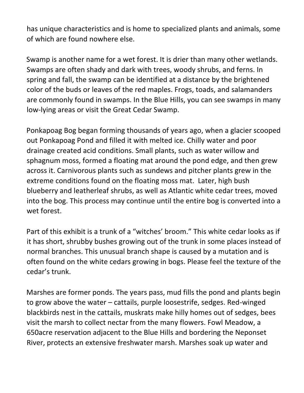has unique characteristics and is home to specialized plants and animals, some of which are found nowhere else.

Swamp is another name for a wet forest. It is drier than many other wetlands. Swamps are often shady and dark with trees, woody shrubs, and ferns. In spring and fall, the swamp can be identified at a distance by the brightened color of the buds or leaves of the red maples. Frogs, toads, and salamanders are commonly found in swamps. In the Blue Hills, you can see swamps in many low-lying areas or visit the Great Cedar Swamp.

Ponkapoag Bog began forming thousands of years ago, when a glacier scooped out Ponkapoag Pond and filled it with melted ice. Chilly water and poor drainage created acid conditions. Small plants, such as water willow and sphagnum moss, formed a floating mat around the pond edge, and then grew across it. Carnivorous plants such as sundews and pitcher plants grew in the extreme conditions found on the floating moss mat. Later, high bush blueberry and leatherleaf shrubs, as well as Atlantic white cedar trees, moved into the bog. This process may continue until the entire bog is converted into a wet forest.

Part of this exhibit is a trunk of a "witches' broom." This white cedar looks as if it has short, shrubby bushes growing out of the trunk in some places instead of normal branches. This unusual branch shape is caused by a mutation and is often found on the white cedars growing in bogs. Please feel the texture of the cedar's trunk.

Marshes are former ponds. The years pass, mud fills the pond and plants begin to grow above the water – cattails, purple loosestrife, sedges. Red-winged blackbirds nest in the cattails, muskrats make hilly homes out of sedges, bees visit the marsh to collect nectar from the many flowers. Fowl Meadow, a 650acre reservation adjacent to the Blue Hills and bordering the Neponset River, protects an extensive freshwater marsh. Marshes soak up water and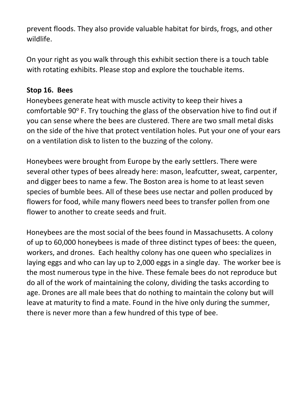prevent floods. They also provide valuable habitat for birds, frogs, and other wildlife.

On your right as you walk through this exhibit section there is a touch table with rotating exhibits. Please stop and explore the touchable items.

## **Stop 16. Bees**

Honeybees generate heat with muscle activity to keep their hives a comfortable 90° F. Try touching the glass of the observation hive to find out if you can sense where the bees are clustered. There are two small metal disks on the side of the hive that protect ventilation holes. Put your one of your ears on a ventilation disk to listen to the buzzing of the colony.

Honeybees were brought from Europe by the early settlers. There were several other types of bees already here: mason, leafcutter, sweat, carpenter, and digger bees to name a few. The Boston area is home to at least seven species of bumble bees. All of these bees use nectar and pollen produced by flowers for food, while many flowers need bees to transfer pollen from one flower to another to create seeds and fruit.

Honeybees are the most social of the bees found in Massachusetts. A colony of up to 60,000 honeybees is made of three distinct types of bees: the queen, workers, and drones. Each healthy colony has one queen who specializes in laying eggs and who can lay up to 2,000 eggs in a single day. The worker bee is the most numerous type in the hive. These female bees do not reproduce but do all of the work of maintaining the colony, dividing the tasks according to age. Drones are all male bees that do nothing to maintain the colony but will leave at maturity to find a mate. Found in the hive only during the summer, there is never more than a few hundred of this type of bee.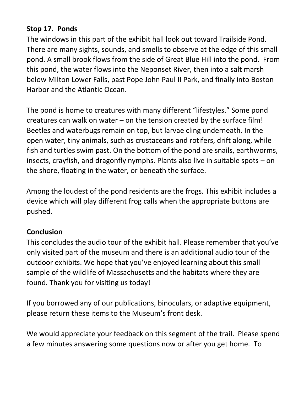## **Stop 17. Ponds**

The windows in this part of the exhibit hall look out toward Trailside Pond. There are many sights, sounds, and smells to observe at the edge of this small pond. A small brook flows from the side of Great Blue Hill into the pond. From this pond, the water flows into the Neponset River, then into a salt marsh below Milton Lower Falls, past Pope John Paul II Park, and finally into Boston Harbor and the Atlantic Ocean.

The pond is home to creatures with many different "lifestyles." Some pond creatures can walk on water – on the tension created by the surface film! Beetles and waterbugs remain on top, but larvae cling underneath. In the open water, tiny animals, such as crustaceans and rotifers, drift along, while fish and turtles swim past. On the bottom of the pond are snails, earthworms, insects, crayfish, and dragonfly nymphs. Plants also live in suitable spots – on the shore, floating in the water, or beneath the surface.

Among the loudest of the pond residents are the frogs. This exhibit includes a device which will play different frog calls when the appropriate buttons are pushed.

## **Conclusion**

This concludes the audio tour of the exhibit hall. Please remember that you've only visited part of the museum and there is an additional audio tour of the outdoor exhibits. We hope that you've enjoyed learning about this small sample of the wildlife of Massachusetts and the habitats where they are found. Thank you for visiting us today!

If you borrowed any of our publications, binoculars, or adaptive equipment, please return these items to the Museum's front desk.

We would appreciate your feedback on this segment of the trail. Please spend a few minutes answering some questions now or after you get home. To